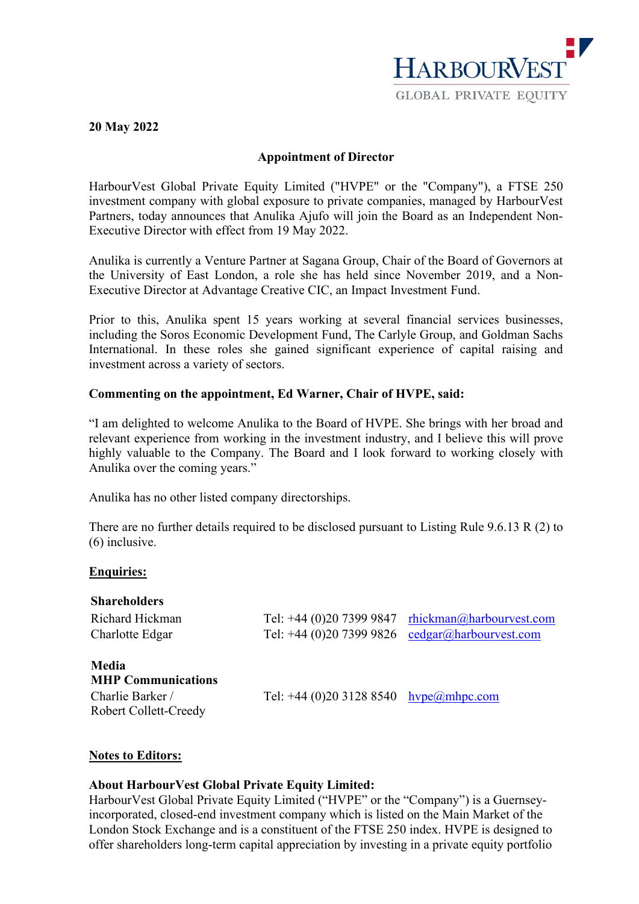

#### **20 May 2022**

## **Appointment of Director**

HarbourVest Global Private Equity Limited ("HVPE" or the "Company"), a FTSE 250 investment company with global exposure to private companies, managed by HarbourVest Partners, today announces that Anulika Ajufo will join the Board as an Independent Non-Executive Director with effect from 19 May 2022.

Anulika is currently a Venture Partner at Sagana Group, Chair of the Board of Governors at the University of East London, a role she has held since November 2019, and a Non-Executive Director at Advantage Creative CIC, an Impact Investment Fund.

Prior to this, Anulika spent 15 years working at several financial services businesses, including the Soros Economic Development Fund, The Carlyle Group, and Goldman Sachs International. In these roles she gained significant experience of capital raising and investment across a variety of sectors.

# **Commenting on the appointment, Ed Warner, Chair of HVPE, said:**

"I am delighted to welcome Anulika to the Board of HVPE. She brings with her broad and relevant experience from working in the investment industry, and I believe this will prove highly valuable to the Company. The Board and I look forward to working closely with Anulika over the coming years."

Anulika has no other listed company directorships.

There are no further details required to be disclosed pursuant to Listing Rule 9.6.13 R (2) to (6) inclusive.

### **Enquiries:**

| <b>Shareholders</b>                                    |                                                   |                                                      |
|--------------------------------------------------------|---------------------------------------------------|------------------------------------------------------|
| Richard Hickman                                        |                                                   | Tel: +44 (0)20 7399 9847 $r$ hickman@harbourvest.com |
| Charlotte Edgar                                        | Tel: $+44$ (0)20 7399 9826                        | cedgar@harbourvest.com                               |
| Media<br><b>MHP Communications</b><br>Charlie Barker / | Tel: +44 (0)20 3128 8540 hvpe $(\omega)$ mhpc.com |                                                      |
| Robert Collett-Creedy                                  |                                                   |                                                      |

### **Notes to Editors:**

### **About HarbourVest Global Private Equity Limited:**

HarbourVest Global Private Equity Limited ("HVPE" or the "Company") is a Guernseyincorporated, closed-end investment company which is listed on the Main Market of the London Stock Exchange and is a constituent of the FTSE 250 index. HVPE is designed to offer shareholders long-term capital appreciation by investing in a private equity portfolio